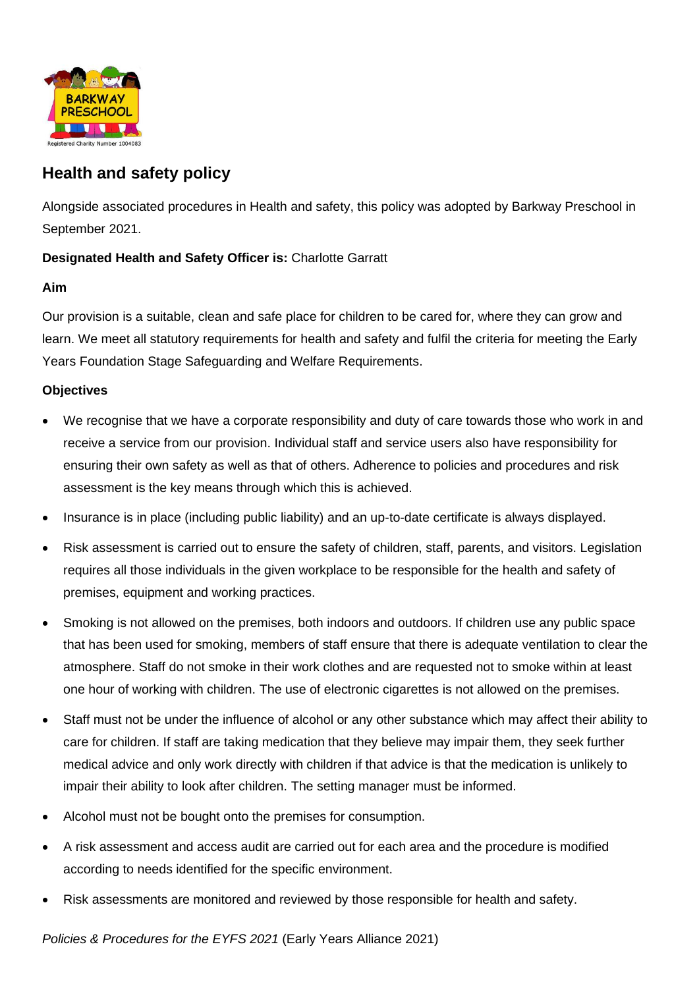

# **Health and safety policy**

Alongside associated procedures in Health and safety, this policy was adopted by Barkway Preschool in September 2021.

## **Designated Health and Safety Officer is:** Charlotte Garratt

### **Aim**

Our provision is a suitable, clean and safe place for children to be cared for, where they can grow and learn. We meet all statutory requirements for health and safety and fulfil the criteria for meeting the Early Years Foundation Stage Safeguarding and Welfare Requirements.

### **Objectives**

- We recognise that we have a corporate responsibility and duty of care towards those who work in and receive a service from our provision. Individual staff and service users also have responsibility for ensuring their own safety as well as that of others. Adherence to policies and procedures and risk assessment is the key means through which this is achieved.
- Insurance is in place (including public liability) and an up-to-date certificate is always displayed.
- Risk assessment is carried out to ensure the safety of children, staff, parents, and visitors. Legislation requires all those individuals in the given workplace to be responsible for the health and safety of premises, equipment and working practices.
- Smoking is not allowed on the premises, both indoors and outdoors. If children use any public space that has been used for smoking, members of staff ensure that there is adequate ventilation to clear the atmosphere. Staff do not smoke in their work clothes and are requested not to smoke within at least one hour of working with children. The use of electronic cigarettes is not allowed on the premises.
- Staff must not be under the influence of alcohol or any other substance which may affect their ability to care for children. If staff are taking medication that they believe may impair them, they seek further medical advice and only work directly with children if that advice is that the medication is unlikely to impair their ability to look after children. The setting manager must be informed.
- Alcohol must not be bought onto the premises for consumption.
- A risk assessment and access audit are carried out for each area and the procedure is modified according to needs identified for the specific environment.
- Risk assessments are monitored and reviewed by those responsible for health and safety.

*Policies & Procedures for the EYFS 2021* (Early Years Alliance 2021)